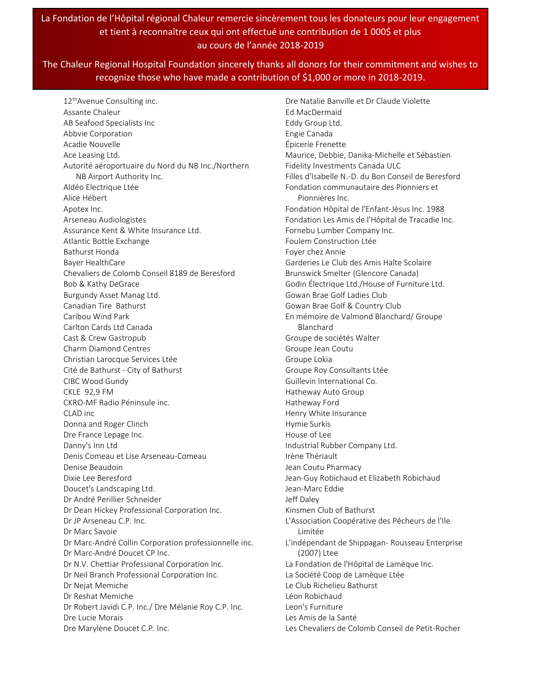## La Fondation de l'Hôpital régional Chaleur remercie sincèrement tous les donateurs pour leur engagement et tient à reconnaître ceux qui ont effectué une contribution de 1 000\$ et plus au cours de l'année 2018-2019

## The Chaleur Regional Hospital Foundation sincerely thanks all donors for their commitment and wishes to recognize those who have made a contribution of \$1,000 or more in 2018-2019.

12<sup>th</sup>Avenue Consulting inc. Assante Chaleur AB Seafood Specialists Inc Abbvie Corporation Acadie Nouvelle Ace Leasing Ltd. Autorité aéroportuaire du Nord du NB Inc./Northern NB Airport Authority Inc. Aldéo Electrique Ltée Alice Hébert Apotex Inc. Arseneau Audiologistes Assurance Kent & White Insurance Ltd. Atlantic Bottle Exchange Bathurst Honda Bayer HealthCare Chevaliers de Colomb Conseil 8189 de Beresford Bob & Kathy DeGrace Burgundy Asset Manag Ltd. Canadian Tire Bathurst Caribou Wind Park Carlton Cards Ltd Canada Cast & Crew Gastropub Charm Diamond Centres Christian Larocque Services Ltée Cité de Bathurst - City of Bathurst CIBC Wood Gundy CKLE 92,9 FM CKRO-MF Radio Péninsule inc. CLAD inc Donna and Roger Clinch Dre France Lepage Inc. Danny's Inn Ltd Denis Comeau et Lise Arseneau-Comeau Denise Beaudoin Dixie Lee Beresford Doucet's Landscaping Ltd. Dr André Perillier Schneider Dr Dean Hickey Professional Corporation Inc. Dr JP Arseneau C.P. Inc. Dr Marc Savoie Dr Marc-André Collin Corporation professionnelle inc. Dr Marc-André Doucet CP Inc. Dr N.V. Chettiar Professional Corporation Inc. Dr Neil Branch Professional Corporation Inc. Dr Nejat Memiche Dr Reshat Memiche Dr Robert Javidi C.P. Inc./ Dre Mélanie Roy C.P. Inc. Dre Lucie Morais Dre Marylène Doucet C.P. Inc.

Dre Natalie Banville et Dr Claude Violette Ed MacDermaid Eddy Group Ltd. Engie Canada Épicerie Frenette Maurice, Debbie, Danika-Michelle et Sébastien Fidelity Investments Canada ULC Filles d'Isabelle N.-D. du Bon Conseil de Beresford Fondation communautaire des Pionniers et Pionnières Inc. Fondation Hôpital de l'Enfant-Jésus Inc. 1988 Fondation Les Amis de l'Hôpital de Tracadie Inc. Fornebu Lumber Company Inc. Foulem Construction Ltée Foyer chez Annie Garderies Le Club des Amis Halte Scolaire Brunswick Smelter (Glencore Canada) Godin Électrique Ltd./House of Furniture Ltd. Gowan Brae Golf Ladies Club Gowan Brae Golf & Country Club En mémoire de Valmond Blanchard/ Groupe Blanchard Groupe de sociétés Walter Groupe Jean Coutu Groupe Lokia Groupe Roy Consultants Ltée Guillevin International Co. Hatheway Auto Group Hatheway Ford Henry White Insurance Hymie Surkis House of Lee Industrial Rubber Company Ltd. Irène Thériault Jean Coutu Pharmacy Jean-Guy Robichaud et Elizabeth Robichaud Jean-Marc Eddie Jeff Daley Kinsmen Club of Bathurst L'Association Coopérative des Pêcheurs de l'Ile Limitée L'indépendant de Shippagan- Rousseau Enterprise (2007) Ltee La Fondation de l'Hôpital de Lamèque Inc. La Société Coop de Lamèque Ltée Le Club Richelieu Bathurst Léon Robichaud Leon's Furniture Les Amis de la Santé Les Chevaliers de Colomb Conseil de Petit-Rocher